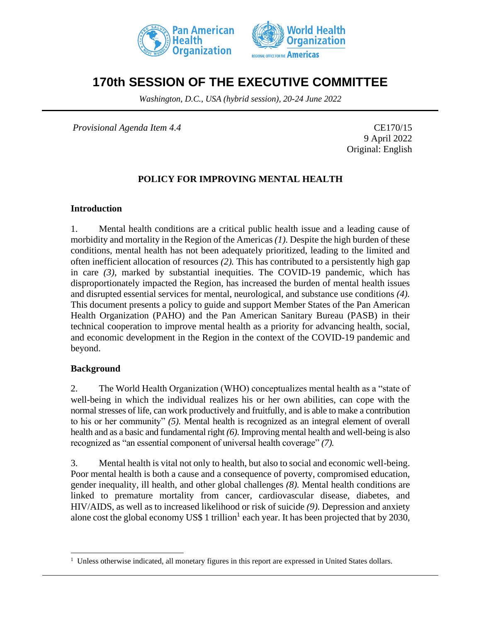



# **170th SESSION OF THE EXECUTIVE COMMITTEE**

*Washington, D.C., USA (hybrid session), 20-24 June 2022*

*Provisional Agenda Item 4.4* CE170/15

9 April 2022 Original: English

# **POLICY FOR IMPROVING MENTAL HEALTH**

#### **Introduction**

1. Mental health conditions are a critical public health issue and a leading cause of morbidity and mortality in the Region of the Americas *(1).* Despite the high burden of these conditions, mental health has not been adequately prioritized, leading to the limited and often inefficient allocation of resources *(2).* This has contributed to a persistently high gap in care *(3)*, marked by substantial inequities. The COVID-19 pandemic, which has disproportionately impacted the Region, has increased the burden of mental health issues and disrupted essential services for mental, neurological, and substance use conditions *(4).*  This document presents a policy to guide and support Member States of the Pan American Health Organization (PAHO) and the Pan American Sanitary Bureau (PASB) in their technical cooperation to improve mental health as a priority for advancing health, social, and economic development in the Region in the context of the COVID-19 pandemic and beyond.

#### **Background**

2. The World Health Organization (WHO) conceptualizes mental health as a "state of well-being in which the individual realizes his or her own abilities, can cope with the normal stresses of life, can work productively and fruitfully, and is able to make a contribution to his or her community" *(5).* Mental health is recognized as an integral element of overall health and as a basic and fundamental right *(6)*. Improving mental health and well-being is also recognized as "an essential component of universal health coverage" *(7).*

3. Mental health is vital not only to health, but also to social and economic well-being. Poor mental health is both a cause and a consequence of poverty, compromised education, gender inequality, ill health, and other global challenges *(8).* Mental health conditions are linked to premature mortality from cancer, cardiovascular disease, diabetes, and HIV/AIDS, as well as to increased likelihood or risk of suicide *(9).* Depression and anxiety alone cost the global economy US\$ 1 trillion<sup>1</sup> each year. It has been projected that by 2030,

<sup>&</sup>lt;sup>1</sup> Unless otherwise indicated, all monetary figures in this report are expressed in United States dollars.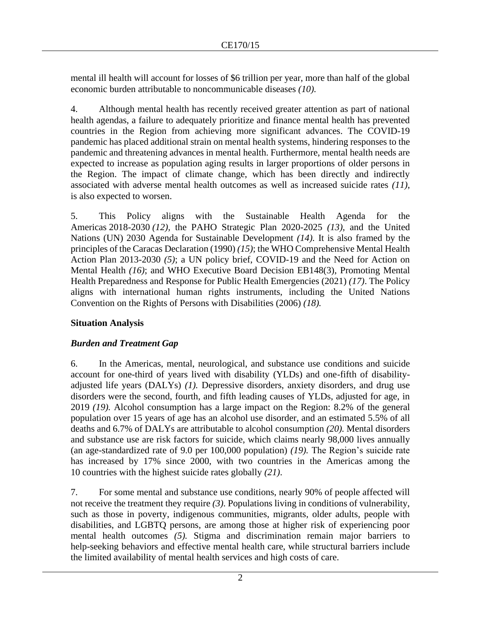mental ill health will account for losses of \$6 trillion per year, more than half of the global economic burden attributable to noncommunicable diseases *(10).*

4. Although mental health has recently received greater attention as part of national health agendas, a failure to adequately prioritize and finance mental health has prevented countries in the Region from achieving more significant advances. The COVID-19 pandemic has placed additional strain on mental health systems, hindering responses to the pandemic and threatening advances in mental health. Furthermore, mental health needs are expected to increase as population aging results in larger proportions of older persons in the Region. The impact of climate change, which has been directly and indirectly associated with adverse mental health outcomes as well as increased suicide rates *(11)*, is also expected to worsen.

5. This Policy aligns with the Sustainable Health Agenda for the Americas 2018-2030 *(12),* the PAHO Strategic Plan 2020-2025 *(13)*, and the United Nations (UN) 2030 Agenda for Sustainable Development *(14).* It is also framed by the principles of the Caracas Declaration (1990) *(15)*; the WHO Comprehensive Mental Health Action Plan 2013-2030 *(5)*; a UN policy brief, COVID-19 and the Need for Action on Mental Health *(16)*; and WHO Executive Board Decision EB148(3), Promoting Mental Health Preparedness and Response for Public Health Emergencies (2021) *(17)*. The Policy aligns with international human rights instruments, including the United Nations Convention on the Rights of Persons with Disabilities (2006) *(18).*

# **Situation Analysis**

# *Burden and Treatment Gap*

6. In the Americas, mental, neurological, and substance use conditions and suicide account for one-third of years lived with disability (YLDs) and one-fifth of disabilityadjusted life years (DALYs) *(1).* Depressive disorders, anxiety disorders, and drug use disorders were the second, fourth, and fifth leading causes of YLDs, adjusted for age, in 2019 *(19).* Alcohol consumption has a large impact on the Region: 8.2% of the general population over 15 years of age has an alcohol use disorder, and an estimated 5.5% of all deaths and 6.7% of DALYs are attributable to alcohol consumption *(20).* Mental disorders and substance use are risk factors for suicide, which claims nearly 98,000 lives annually (an age-standardized rate of 9.0 per 100,000 population) *(19).* The Region's suicide rate has increased by 17% since 2000, with two countries in the Americas among the 10 countries with the highest suicide rates globally *(21)*.

7. For some mental and substance use conditions, nearly 90% of people affected will not receive the treatment they require *(3).* Populations living in conditions of vulnerability, such as those in poverty, indigenous communities, migrants, older adults, people with disabilities, and LGBTQ persons, are among those at higher risk of experiencing poor mental health outcomes *(5).* Stigma and discrimination remain major barriers to help-seeking behaviors and effective mental health care, while structural barriers include the limited availability of mental health services and high costs of care.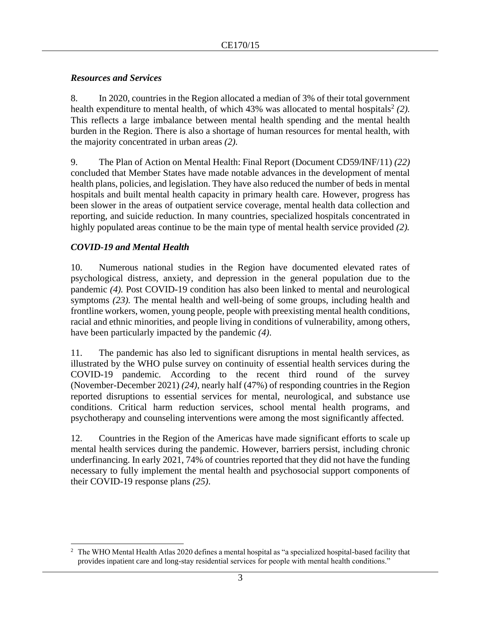# *Resources and Services*

8. In 2020, countries in the Region allocated a median of 3% of their total government health expenditure to mental health, of which  $43\%$  was allocated to mental hospitals<sup>2</sup> (2). This reflects a large imbalance between mental health spending and the mental health burden in the Region. There is also a shortage of human resources for mental health, with the majority concentrated in urban areas *(2).*

9. The Plan of Action on Mental Health: Final Report (Document CD59/INF/11) *(22)* concluded that Member States have made notable advances in the development of mental health plans, policies, and legislation. They have also reduced the number of beds in mental hospitals and built mental health capacity in primary health care. However, progress has been slower in the areas of outpatient service coverage, mental health data collection and reporting, and suicide reduction. In many countries, specialized hospitals concentrated in highly populated areas continue to be the main type of mental health service provided *(2).* 

# *COVID-19 and Mental Health*

10. Numerous national studies in the Region have documented elevated rates of psychological distress, anxiety, and depression in the general population due to the pandemic *(4).* Post COVID-19 condition has also been linked to mental and neurological symptoms *(23).* The mental health and well-being of some groups, including health and frontline workers, women, young people, people with preexisting mental health conditions, racial and ethnic minorities, and people living in conditions of vulnerability, among others, have been particularly impacted by the pandemic *(4)*.

11. The pandemic has also led to significant disruptions in mental health services, as illustrated by the WHO pulse survey on continuity of essential health services during the COVID-19 pandemic*.* According to the recent third round of the survey (November-December 2021) *(24)*, nearly half (47%) of responding countries in the Region reported disruptions to essential services for mental, neurological, and substance use conditions. Critical harm reduction services, school mental health programs, and psychotherapy and counseling interventions were among the most significantly affected.

12. Countries in the Region of the Americas have made significant efforts to scale up mental health services during the pandemic. However, barriers persist, including chronic underfinancing. In early 2021, 74% of countries reported that they did not have the funding necessary to fully implement the mental health and psychosocial support components of their COVID-19 response plans *(25)*.

<sup>&</sup>lt;sup>2</sup> The WHO Mental Health Atlas 2020 defines a mental hospital as "a specialized hospital-based facility that provides inpatient care and long-stay residential services for people with mental health conditions."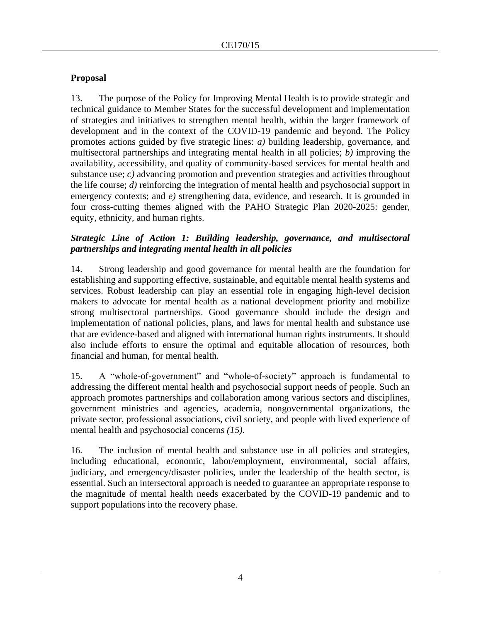# **Proposal**

13. The purpose of the Policy for Improving Mental Health is to provide strategic and technical guidance to Member States for the successful development and implementation of strategies and initiatives to strengthen mental health, within the larger framework of development and in the context of the COVID-19 pandemic and beyond. The Policy promotes actions guided by five strategic lines: *a)* building leadership, governance, and multisectoral partnerships and integrating mental health in all policies; *b)* improving the availability, accessibility, and quality of community-based services for mental health and substance use; *c*) advancing promotion and prevention strategies and activities throughout the life course; *d)* reinforcing the integration of mental health and psychosocial support in emergency contexts; and *e)* strengthening data, evidence, and research. It is grounded in four cross-cutting themes aligned with the PAHO Strategic Plan 2020-2025: gender, equity, ethnicity, and human rights.

#### *Strategic Line of Action 1: Building leadership, governance, and multisectoral partnerships and integrating mental health in all policies*

14. Strong leadership and good governance for mental health are the foundation for establishing and supporting effective, sustainable, and equitable mental health systems and services. Robust leadership can play an essential role in engaging high-level decision makers to advocate for mental health as a national development priority and mobilize strong multisectoral partnerships. Good governance should include the design and implementation of national policies, plans, and laws for mental health and substance use that are evidence-based and aligned with international human rights instruments. It should also include efforts to ensure the optimal and equitable allocation of resources, both financial and human, for mental health*.*

15. A "whole-of-government" and "whole-of-society" approach is fundamental to addressing the different mental health and psychosocial support needs of people. Such an approach promotes partnerships and collaboration among various sectors and disciplines, government ministries and agencies, academia, nongovernmental organizations, the private sector, professional associations, civil society, and people with lived experience of mental health and psychosocial concerns *(15).*

16. The inclusion of mental health and substance use in all policies and strategies, including educational, economic, labor/employment, environmental, social affairs, judiciary, and emergency/disaster policies, under the leadership of the health sector, is essential. Such an intersectoral approach is needed to guarantee an appropriate response to the magnitude of mental health needs exacerbated by the COVID-19 pandemic and to support populations into the recovery phase.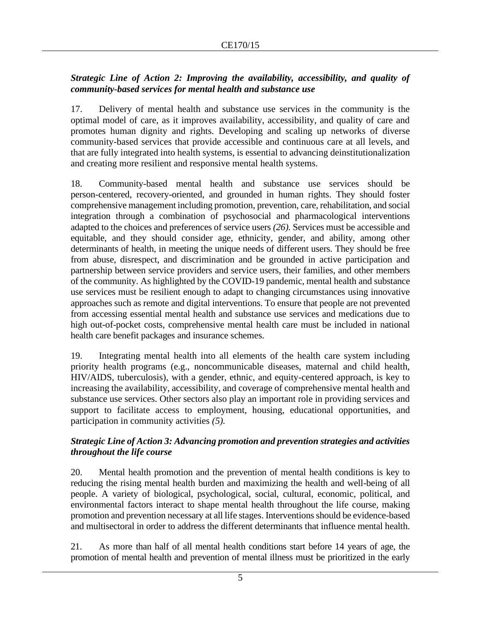# *Strategic Line of Action 2: Improving the availability, accessibility, and quality of community-based services for mental health and substance use*

17. Delivery of mental health and substance use services in the community is the optimal model of care, as it improves availability, accessibility, and quality of care and promotes human dignity and rights. Developing and scaling up networks of diverse community-based services that provide accessible and continuous care at all levels, and that are fully integrated into health systems, is essential to advancing deinstitutionalization and creating more resilient and responsive mental health systems.

18. Community-based mental health and substance use services should be person-centered, recovery-oriented, and grounded in human rights. They should foster comprehensive management including promotion, prevention, care, rehabilitation, and social integration through a combination of psychosocial and pharmacological interventions adapted to the choices and preferences of service users *(26).* Services must be accessible and equitable, and they should consider age, ethnicity, gender, and ability, among other determinants of health, in meeting the unique needs of different users. They should be free from abuse, disrespect, and discrimination and be grounded in active participation and partnership between service providers and service users, their families, and other members of the community. As highlighted by the COVID-19 pandemic, mental health and substance use services must be resilient enough to adapt to changing circumstances using innovative approaches such as remote and digital interventions. To ensure that people are not prevented from accessing essential mental health and substance use services and medications due to high out-of-pocket costs, comprehensive mental health care must be included in national health care benefit packages and insurance schemes.

19. Integrating mental health into all elements of the health care system including priority health programs (e.g., noncommunicable diseases, maternal and child health, HIV/AIDS, tuberculosis), with a gender, ethnic, and equity-centered approach, is key to increasing the availability, accessibility, and coverage of comprehensive mental health and substance use services. Other sectors also play an important role in providing services and support to facilitate access to employment, housing, educational opportunities, and participation in community activities *(5).*

# *Strategic Line of Action 3: Advancing promotion and prevention strategies and activities throughout the life course*

20. Mental health promotion and the prevention of mental health conditions is key to reducing the rising mental health burden and maximizing the health and well-being of all people. A variety of biological, psychological, social, cultural, economic, political, and environmental factors interact to shape mental health throughout the life course, making promotion and prevention necessary at all life stages. Interventions should be evidence-based and multisectoral in order to address the different determinants that influence mental health.

21. As more than half of all mental health conditions start before 14 years of age, the promotion of mental health and prevention of mental illness must be prioritized in the early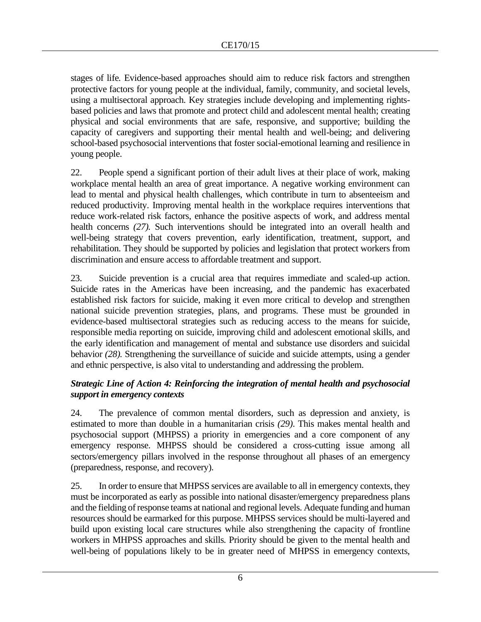stages of life*.* Evidence-based approaches should aim to reduce risk factors and strengthen protective factors for young people at the individual, family, community, and societal levels, using a multisectoral approach. Key strategies include developing and implementing rightsbased policies and laws that promote and protect child and adolescent mental health; creating physical and social environments that are safe, responsive, and supportive; building the capacity of caregivers and supporting their mental health and well-being; and delivering school-based psychosocial interventions that foster social-emotional learning and resilience in young people.

22. People spend a significant portion of their adult lives at their place of work, making workplace mental health an area of great importance. A negative working environment can lead to mental and physical health challenges, which contribute in turn to absenteeism and reduced productivity. Improving mental health in the workplace requires interventions that reduce work-related risk factors, enhance the positive aspects of work, and address mental health concerns *(27).* Such interventions should be integrated into an overall health and well-being strategy that covers prevention, early identification, treatment, support, and rehabilitation. They should be supported by policies and legislation that protect workers from discrimination and ensure access to affordable treatment and support.

23. Suicide prevention is a crucial area that requires immediate and scaled-up action. Suicide rates in the Americas have been increasing, and the pandemic has exacerbated established risk factors for suicide, making it even more critical to develop and strengthen national suicide prevention strategies, plans, and programs. These must be grounded in evidence-based multisectoral strategies such as reducing access to the means for suicide, responsible media reporting on suicide, improving child and adolescent emotional skills, and the early identification and management of mental and substance use disorders and suicidal behavior *(28).* Strengthening the surveillance of suicide and suicide attempts, using a gender and ethnic perspective, is also vital to understanding and addressing the problem.

# *Strategic Line of Action 4: Reinforcing the integration of mental health and psychosocial support in emergency contexts*

24. The prevalence of common mental disorders, such as depression and anxiety, is estimated to more than double in a humanitarian crisis *(29)*. This makes mental health and psychosocial support (MHPSS) a priority in emergencies and a core component of any emergency response. MHPSS should be considered a cross-cutting issue among all sectors/emergency pillars involved in the response throughout all phases of an emergency (preparedness, response, and recovery).

25. In order to ensure that MHPSS services are available to all in emergency contexts, they must be incorporated as early as possible into national disaster/emergency preparedness plans and the fielding of response teams at national and regional levels. Adequate funding and human resources should be earmarked for this purpose. MHPSS services should be multi-layered and build upon existing local care structures while also strengthening the capacity of frontline workers in MHPSS approaches and skills*.* Priority should be given to the mental health and well-being of populations likely to be in greater need of MHPSS in emergency contexts,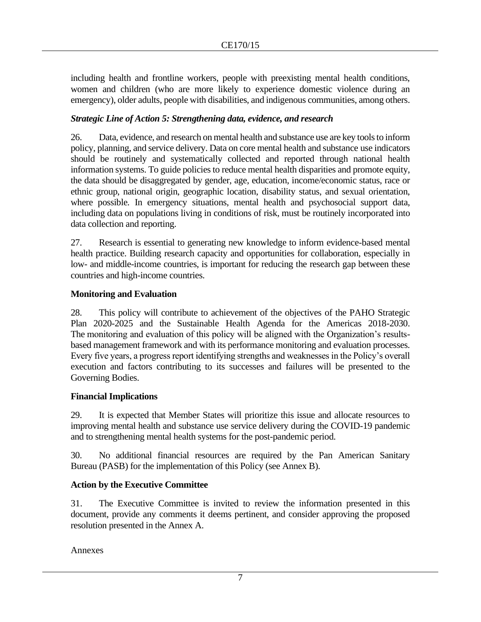including health and frontline workers, people with preexisting mental health conditions, women and children (who are more likely to experience domestic violence during an emergency), older adults, people with disabilities, and indigenous communities, among others.

#### *Strategic Line of Action 5: Strengthening data, evidence, and research*

26. Data, evidence, and research on mental health and substance use are key tools to inform policy, planning, and service delivery. Data on core mental health and substance use indicators should be routinely and systematically collected and reported through national health information systems. To guide policies to reduce mental health disparities and promote equity, the data should be disaggregated by gender, age, education, income/economic status, race or ethnic group, national origin, geographic location, disability status, and sexual orientation, where possible*.* In emergency situations, mental health and psychosocial support data, including data on populations living in conditions of risk, must be routinely incorporated into data collection and reporting.

27. Research is essential to generating new knowledge to inform evidence-based mental health practice. Building research capacity and opportunities for collaboration, especially in low- and middle-income countries, is important for reducing the research gap between these countries and high-income countries.

#### **Monitoring and Evaluation**

28. This policy will contribute to achievement of the objectives of the PAHO Strategic Plan 2020-2025 and the Sustainable Health Agenda for the Americas 2018-2030. The monitoring and evaluation of this policy will be aligned with the Organization's resultsbased management framework and with its performance monitoring and evaluation processes. Every five years, a progress report identifying strengths and weaknesses in the Policy's overall execution and factors contributing to its successes and failures will be presented to the Governing Bodies.

#### **Financial Implications**

29. It is expected that Member States will prioritize this issue and allocate resources to improving mental health and substance use service delivery during the COVID-19 pandemic and to strengthening mental health systems for the post-pandemic period.

30. No additional financial resources are required by the Pan American Sanitary Bureau (PASB) for the implementation of this Policy (see Annex B).

# **Action by the Executive Committee**

31. The Executive Committee is invited to review the information presented in this document, provide any comments it deems pertinent, and consider approving the proposed resolution presented in the Annex A.

Annexes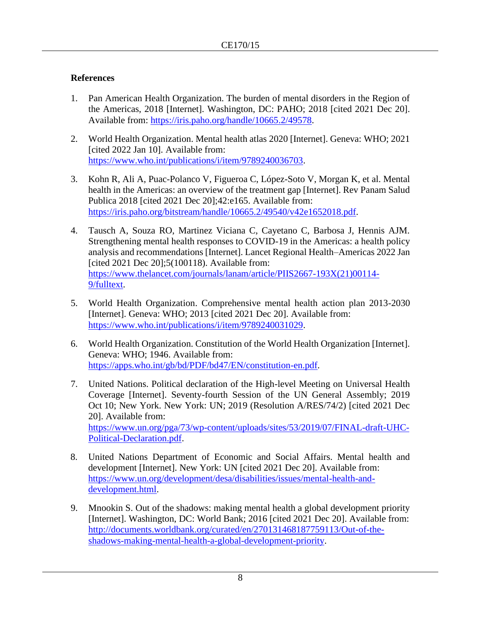# **References**

- 1. Pan American Health Organization. The burden of mental disorders in the Region of the Americas, 2018 [Internet]. Washington, DC: PAHO; 2018 [cited 2021 Dec 20]. Available from: [https://iris.paho.org/handle/10665.2/49578.](https://iris.paho.org/handle/10665.2/49578)
- 2. World Health Organization. Mental health atlas 2020 [Internet]. Geneva: WHO; 2021 [cited 2022 Jan 10]. Available from: [https://www.who.int/publications/i/item/9789240036703.](https://www.who.int/publications/i/item/9789240036703)
- 3. Kohn R, Ali A, Puac-Polanco V, Figueroa C, López-Soto V, Morgan K, et al. Mental health in the Americas: an overview of the treatment gap [Internet]. Rev Panam Salud Publica 2018 [cited 2021 Dec 20];42:e165. Available from: [https://iris.paho.org/bitstream/handle/10665.2/49540/v42e1652018.pdf.](https://iris.paho.org/bitstream/handle/10665.2/49540/v42e1652018.pdf)
- 4. Tausch A, Souza RO, Martinez Viciana C, Cayetano C, Barbosa J, Hennis AJM. Strengthening mental health responses to COVID-19 in the Americas: a health policy analysis and recommendations [Internet]. Lancet Regional Health–Americas 2022 Jan [cited 2021 Dec 20];5(100118). Available from: [https://www.thelancet.com/journals/lanam/article/PIIS2667-193X\(21\)00114-](https://www.thelancet.com/journals/lanam/article/PIIS2667-193X(21)00114-9/fulltext) [9/fulltext.](https://www.thelancet.com/journals/lanam/article/PIIS2667-193X(21)00114-9/fulltext)
- 5. World Health Organization. Comprehensive mental health action plan 2013-2030 [Internet]. Geneva: WHO; 2013 [cited 2021 Dec 20]. Available from: [https://www.who.int/publications/i/item/9789240031029.](https://www.who.int/publications/i/item/9789240031029)
- 6. World Health Organization. Constitution of the World Health Organization [Internet]. Geneva: WHO; 1946. Available from: [https://apps.who.int/gb/bd/PDF/bd47/EN/constitution-en.pdf.](https://apps.who.int/gb/bd/PDF/bd47/EN/constitution-en.pdf)
- 7. United Nations. Political declaration of the High-level Meeting on Universal Health Coverage [Internet]. Seventy-fourth Session of the UN General Assembly; 2019 Oct 10; New York. New York: UN; 2019 (Resolution A/RES/74/2) [cited 2021 Dec 20]. Available from: [https://www.un.org/pga/73/wp-content/uploads/sites/53/2019/07/FINAL-draft-UHC-](https://www.un.org/pga/73/wp-content/uploads/sites/53/2019/07/FINAL-draft-UHC-Political-Declaration.pdf)[Political-Declaration.pdf.](https://www.un.org/pga/73/wp-content/uploads/sites/53/2019/07/FINAL-draft-UHC-Political-Declaration.pdf)
- 8. United Nations Department of Economic and Social Affairs. Mental health and development [Internet]. New York: UN [cited 2021 Dec 20]. Available from: [https://www.un.org/development/desa/disabilities/issues/mental-health-and](https://www.un.org/development/desa/disabilities/issues/mental-health-and-development.html)[development.html.](https://www.un.org/development/desa/disabilities/issues/mental-health-and-development.html)
- 9. Mnookin S. Out of the shadows: making mental health a global development priority [Internet]. Washington, DC: World Bank; 2016 [cited 2021 Dec 20]. Available from: [http://documents.worldbank.org/curated/en/270131468187759113/Out-of-the](http://documents.worldbank.org/curated/en/270131468187759113/Out-of-the-shadows-making-mental-health-a-global-development-priority)[shadows-making-mental-health-a-global-development-priority.](http://documents.worldbank.org/curated/en/270131468187759113/Out-of-the-shadows-making-mental-health-a-global-development-priority)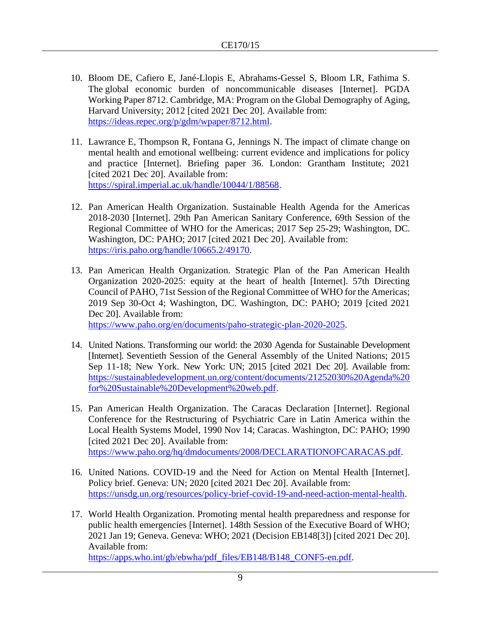- 10. Bloom DE, Cafiero E, Jané-Llopis E, Abrahams-Gessel S, Bloom LR, Fathima S. The [global economic burden of noncommunicable diseases](https://ideas.repec.org/p/gdm/wpaper/8712.html) [Internet]. [PGDA](https://ideas.repec.org/s/gdm/wpaper.html)  [Working Paper](https://ideas.repec.org/s/gdm/wpaper.html) 8712. Cambridge, MA: Program on the Global Demography of Aging, Harvard University; 2012 [cited 2021 Dec 20]. Available from: [https://ideas.repec.org/p/gdm/wpaper/8712.html.](https://ideas.repec.org/p/gdm/wpaper/8712.html)
- 11. Lawrance E, Thompson R, Fontana G, Jennings N. The impact of climate change on mental health and emotional wellbeing: current evidence and implications for policy and practice [Internet]. Briefing paper 36. London: Grantham Institute; 2021 [cited 2021 Dec 20]. Available from: [https://spiral.imperial.ac.uk/handle/10044/1/88568.](https://spiral.imperial.ac.uk/handle/10044/1/88568)
- 12. Pan American Health Organization. Sustainable Health Agenda for the Americas 2018-2030 [Internet]. 29th Pan American Sanitary Conference, 69th Session of the Regional Committee of WHO for the Americas; 2017 Sep 25-29; Washington, DC. Washington, DC: PAHO; 2017 [cited 2021 Dec 20]. Available from: [https://iris.paho.org/handle/10665.2/49170.](https://iris.paho.org/handle/10665.2/49170)
- 13. Pan American Health Organization. Strategic Plan of the Pan American Health Organization 2020-2025: equity at the heart of health [Internet]. 57th Directing Council of PAHO, 71st Session of the Regional Committee of WHO for the Americas; 2019 Sep 30-Oct 4; Washington, DC. Washington, DC: PAHO; 2019 [cited 2021 Dec 20]. Available from: [https://www.paho.org/en/documents/paho-strategic-plan-2020-2025.](https://www.paho.org/en/documents/paho-strategic-plan-2020-2025)
- 14. United Nations. Transforming our world: the 2030 Agenda for Sustainable Development [Internet]. Seventieth Session of the General Assembly of the United Nations; 2015 Sep 11-18; New York. New York: UN; 2015 [cited 2021 Dec 20]. Available from: [https://sustainabledevelopment.un.org/content/documents/21252030%20Agenda%20](https://sustainabledevelopment.un.org/content/documents/21252030%20Agenda%20for%20Sustainable%20Development%20web.pdf) [for%20Sustainable%20Development%20web.pdf.](https://sustainabledevelopment.un.org/content/documents/21252030%20Agenda%20for%20Sustainable%20Development%20web.pdf)
- 15. Pan American Health Organization. The Caracas Declaration [Internet]. Regional Conference for the Restructuring of Psychiatric Care in Latin America within the Local Health Systems Model, 1990 Nov 14; Caracas. Washington, DC: PAHO; 1990 [cited 2021 Dec 20]. Available from: [https://www.paho.org/hq/dmdocuments/2008/DECLARATIONOFCARACAS.pdf.](https://www.paho.org/hq/dmdocuments/2008/DECLARATIONOFCARACAS.pdf)
- 16. United Nations. COVID-19 and the Need for Action on Mental Health [Internet]. Policy brief. Geneva: UN; 2020 [cited 2021 Dec 20]. Available from: [https://unsdg.un.org/resources/policy-brief-covid-19-and-need-action-mental-health.](https://unsdg.un.org/resources/policy-brief-covid-19-and-need-action-mental-health)
- 17. World Health Organization. Promoting mental health preparedness and response for public health emergencies [Internet]. 148th Session of the Executive Board of WHO; 2021 Jan 19; Geneva. Geneva: WHO; 2021 (Decision EB148[3]) [cited 2021 Dec 20]. Available from: [https://apps.who.int/gb/ebwha/pdf\\_files/EB148/B148\\_CONF5-en.pdf.](https://apps.who.int/gb/ebwha/pdf_files/EB148/B148_CONF5-en.pdf)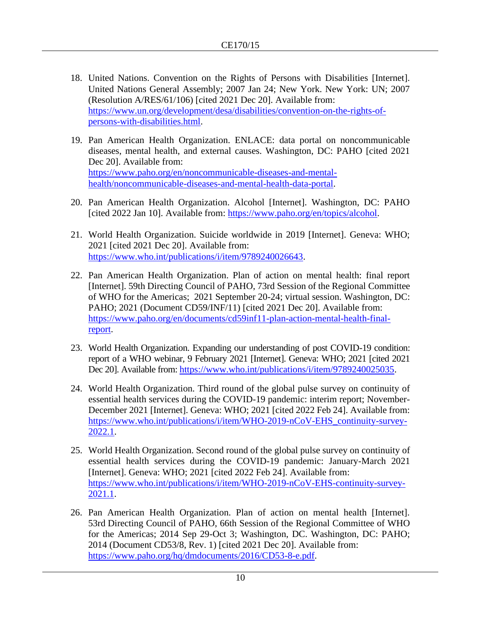- 18. United Nations. Convention on the Rights of Persons with Disabilities [Internet]. United Nations General Assembly; 2007 Jan 24; New York. New York: UN; 2007 (Resolution A/RES/61/106) [cited 2021 Dec 20]. Available from: [https://www.un.org/development/desa/disabilities/convention-on-the-rights-of](https://www.un.org/development/desa/disabilities/convention-on-the-rights-of-persons-with-disabilities.html)[persons-with-disabilities.html.](https://www.un.org/development/desa/disabilities/convention-on-the-rights-of-persons-with-disabilities.html)
- 19. Pan American Health Organization. ENLACE: data portal on noncommunicable diseases, mental health, and external causes. Washington, DC: PAHO [cited 2021 Dec 20]. Available from: [https://www.paho.org/en/noncommunicable-diseases-and-mental](https://www.paho.org/en/noncommunicable-diseases-and-mental-health/noncommunicable-diseases-and-mental-health-data-portal)[health/noncommunicable-diseases-and-mental-health-data-portal.](https://www.paho.org/en/noncommunicable-diseases-and-mental-health/noncommunicable-diseases-and-mental-health-data-portal)
- 20. Pan American Health Organization. Alcohol [Internet]. Washington, DC: PAHO [cited 2022 Jan 10]. Available from: [https://www.paho.org/en/topics/alcohol.](https://www.paho.org/en/topics/alcohol)
- 21. World Health Organization. Suicide worldwide in 2019 [Internet]. Geneva: WHO; 2021 [cited 2021 Dec 20]. Available from: [https://www.who.int/publications/i/item/9789240026643.](https://www.who.int/publications/i/item/9789240026643)
- 22. Pan American Health Organization. Plan of action on mental health: final report [Internet]. 59th Directing Council of PAHO, 73rd Session of the Regional Committee of WHO for the Americas; 2021 September 20-24; virtual session. Washington, DC: PAHO; 2021 (Document CD59/INF/11) [cited 2021 Dec 20]. Available from: [https://www.paho.org/en/documents/cd59inf11-plan-action-mental-health-final](https://www.paho.org/en/documents/cd59inf11-plan-action-mental-health-final-report)[report.](https://www.paho.org/en/documents/cd59inf11-plan-action-mental-health-final-report)
- 23. World Health Organization. Expanding our understanding of post COVID-19 condition: report of a WHO webinar, 9 February 2021 [Internet]. Geneva: WHO; 2021 [cited 2021 Dec 20]. Available from[: https://www.who.int/publications/i/item/9789240025035.](https://www.who.int/publications/i/item/9789240025035)
- 24. World Health Organization. Third round of the global pulse survey on continuity of essential health services during the COVID-19 pandemic: interim report; November-December 2021 [Internet]. Geneva: WHO; 2021 [cited 2022 Feb 24]. Available from: [https://www.who.int/publications/i/item/WHO-2019-nCoV-EHS\\_continuity-survey-](https://www.who.int/publications/i/item/WHO-2019-nCoV-EHS_continuity-survey-2022.1)[2022.1.](https://www.who.int/publications/i/item/WHO-2019-nCoV-EHS_continuity-survey-2022.1)
- 25. World Health Organization. Second round of the global pulse survey on continuity of essential health services during the COVID-19 pandemic: January-March 2021 [Internet]. Geneva: WHO; 2021 [cited 2022 Feb 24]. Available from: [https://www.who.int/publications/i/item/WHO-2019-nCoV-EHS-continuity-survey-](https://www.who.int/publications/i/item/WHO-2019-nCoV-EHS-continuity-survey-2021.1)[2021.1.](https://www.who.int/publications/i/item/WHO-2019-nCoV-EHS-continuity-survey-2021.1)
- 26. Pan American Health Organization. Plan of action on mental health [Internet]. 53rd Directing Council of PAHO, 66th Session of the Regional Committee of WHO for the Americas; 2014 Sep 29-Oct 3; Washington, DC. Washington, DC: PAHO; 2014 (Document CD53/8, Rev. 1) [cited 2021 Dec 20]. Available from: [https://www.paho.org/hq/dmdocuments/2016/CD53-8-e.pdf.](https://www.paho.org/hq/dmdocuments/2016/CD53-8-e.pdf)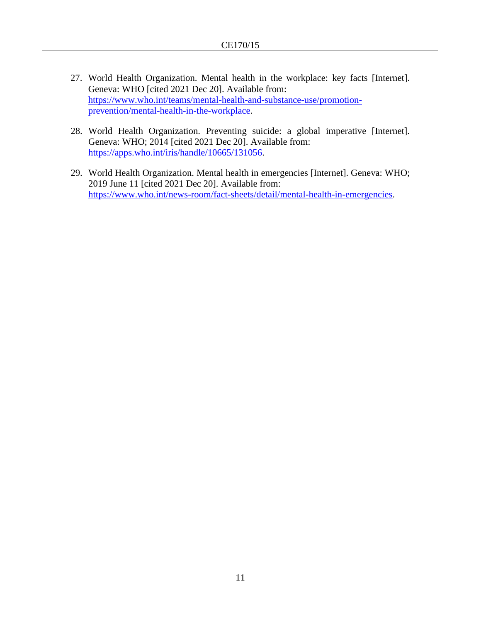- 27. World Health Organization. Mental health in the workplace: key facts [Internet]. Geneva: WHO [cited 2021 Dec 20]. Available from: [https://www.who.int/teams/mental-health-and-substance-use/promotion](https://www.who.int/teams/mental-health-and-substance-use/promotion-prevention/mental-health-in-the-workplace)[prevention/mental-health-in-the-workplace.](https://www.who.int/teams/mental-health-and-substance-use/promotion-prevention/mental-health-in-the-workplace)
- 28. World Health Organization. Preventing suicide: a global imperative [Internet]. Geneva: WHO; 2014 [cited 2021 Dec 20]. Available from: [https://apps.who.int/iris/handle/10665/131056.](https://apps.who.int/iris/handle/10665/131056)
- 29. World Health Organization. Mental health in emergencies [Internet]. Geneva: WHO; 2019 June 11 [cited 2021 Dec 20]. Available from: [https://www.who.int/news-room/fact-sheets/detail/mental-health-in-emergencies.](https://www.who.int/news-room/fact-sheets/detail/mental-health-in-emergencies)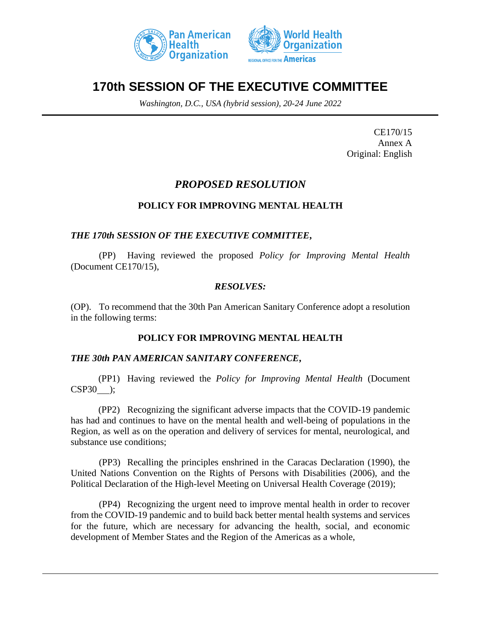



# **170th SESSION OF THE EXECUTIVE COMMITTEE**

*Washington, D.C., USA (hybrid session), 20-24 June 2022*

CE170/15 Annex A Original: English

# *PROPOSED RESOLUTION*

# **POLICY FOR IMPROVING MENTAL HEALTH**

# *THE 170th SESSION OF THE EXECUTIVE COMMITTEE***,**

(PP) Having reviewed the proposed *Policy for Improving Mental Health*  (Document CE170/15),

#### *RESOLVES:*

(OP). To recommend that the 30th Pan American Sanitary Conference adopt a resolution in the following terms:

#### **POLICY FOR IMPROVING MENTAL HEALTH**

#### *THE 30th PAN AMERICAN SANITARY CONFERENCE***,**

(PP1) Having reviewed the *Policy for Improving Mental Health* (Document CSP30 );

(PP2) Recognizing the significant adverse impacts that the COVID-19 pandemic has had and continues to have on the mental health and well-being of populations in the Region, as well as on the operation and delivery of services for mental, neurological, and substance use conditions;

(PP3) Recalling the principles enshrined in the Caracas Declaration (1990), the United Nations Convention on the Rights of Persons with Disabilities (2006), and the Political Declaration of the High-level Meeting on Universal Health Coverage (2019);

(PP4) Recognizing the urgent need to improve mental health in order to recover from the COVID-19 pandemic and to build back better mental health systems and services for the future, which are necessary for advancing the health, social, and economic development of Member States and the Region of the Americas as a whole,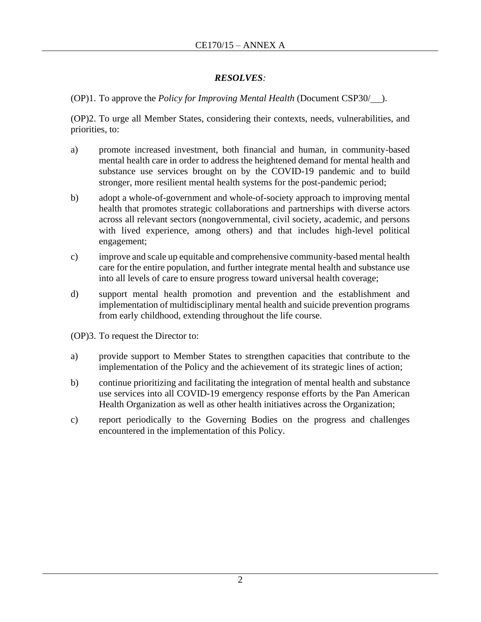# *RESOLVES:*

(OP)1. To approve the *Policy for Improving Mental Health* (Document CSP30/ ).

(OP)2. To urge all Member States, considering their contexts, needs, vulnerabilities, and priorities, to:

- a) promote increased investment, both financial and human, in community-based mental health care in order to address the heightened demand for mental health and substance use services brought on by the COVID-19 pandemic and to build stronger, more resilient mental health systems for the post-pandemic period;
- b) adopt a whole-of-government and whole-of-society approach to improving mental health that promotes strategic collaborations and partnerships with diverse actors across all relevant sectors (nongovernmental, civil society, academic, and persons with lived experience, among others) and that includes high-level political engagement;
- c) improve and scale up equitable and comprehensive community-based mental health care for the entire population, and further integrate mental health and substance use into all levels of care to ensure progress toward universal health coverage;
- d) support mental health promotion and prevention and the establishment and implementation of multidisciplinary mental health and suicide prevention programs from early childhood, extending throughout the life course.
- (OP)3. To request the Director to:
- a) provide support to Member States to strengthen capacities that contribute to the implementation of the Policy and the achievement of its strategic lines of action;
- b) continue prioritizing and facilitating the integration of mental health and substance use services into all COVID-19 emergency response efforts by the Pan American Health Organization as well as other health initiatives across the Organization;
- c) report periodically to the Governing Bodies on the progress and challenges encountered in the implementation of this Policy.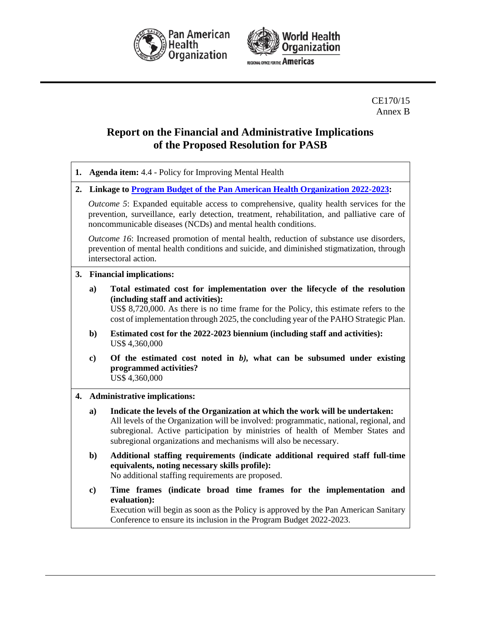



CE170/15 Annex B

# **Report on the Financial and Administrative Implications of the Proposed Resolution for PASB**

| 1. |                                                                              | <b>Agenda item:</b> 4.4 - Policy for Improving Mental Health                                                                                                                                                                                                                                                                  |
|----|------------------------------------------------------------------------------|-------------------------------------------------------------------------------------------------------------------------------------------------------------------------------------------------------------------------------------------------------------------------------------------------------------------------------|
| 2. | Linkage to Program Budget of the Pan American Health Organization 2022-2023: |                                                                                                                                                                                                                                                                                                                               |
|    |                                                                              | <i>Outcome 5</i> : Expanded equitable access to comprehensive, quality health services for the<br>prevention, surveillance, early detection, treatment, rehabilitation, and palliative care of<br>noncommunicable diseases (NCDs) and mental health conditions.                                                               |
|    |                                                                              | <i>Outcome 16</i> : Increased promotion of mental health, reduction of substance use disorders,<br>prevention of mental health conditions and suicide, and diminished stigmatization, through<br>intersectoral action.                                                                                                        |
| 3. | <b>Financial implications:</b>                                               |                                                                                                                                                                                                                                                                                                                               |
|    | $\mathbf{a}$ )                                                               | Total estimated cost for implementation over the lifecycle of the resolution<br>(including staff and activities):<br>US\$ 8,720,000. As there is no time frame for the Policy, this estimate refers to the<br>cost of implementation through 2025, the concluding year of the PAHO Strategic Plan.                            |
|    | $\mathbf{b}$                                                                 | Estimated cost for the 2022-2023 biennium (including staff and activities):<br>US\$ 4,360,000                                                                                                                                                                                                                                 |
|    | $\bf c)$                                                                     | Of the estimated cost noted in $b$ ), what can be subsumed under existing<br>programmed activities?<br>US\$4,360,000                                                                                                                                                                                                          |
| 4. |                                                                              | <b>Administrative implications:</b>                                                                                                                                                                                                                                                                                           |
|    | a)                                                                           | Indicate the levels of the Organization at which the work will be undertaken:<br>All levels of the Organization will be involved: programmatic, national, regional, and<br>subregional. Active participation by ministries of health of Member States and<br>subregional organizations and mechanisms will also be necessary. |
|    | b)                                                                           | Additional staffing requirements (indicate additional required staff full-time<br>equivalents, noting necessary skills profile):<br>No additional staffing requirements are proposed.                                                                                                                                         |
|    | $\bf c)$                                                                     | Time frames (indicate broad time frames for the implementation and<br>evaluation):<br>Execution will begin as soon as the Policy is approved by the Pan American Sanitary<br>Conference to ensure its inclusion in the Program Budget 2022-2023.                                                                              |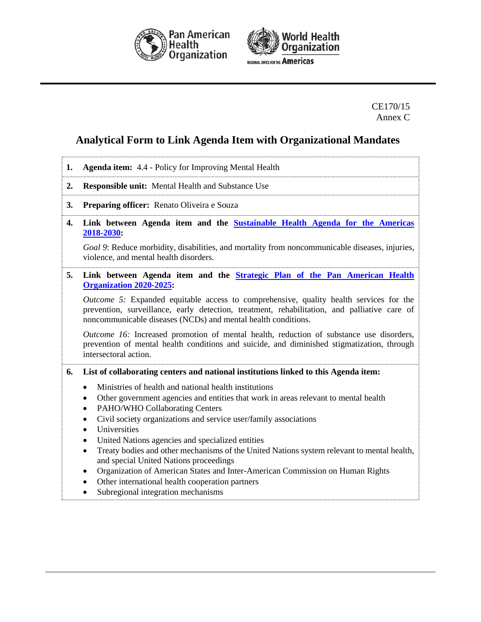



CE170/15 Annex C

# **Analytical Form to Link Agenda Item with Organizational Mandates**

| 1. | <b>Agenda item:</b> 4.4 - Policy for Improving Mental Health                                                                                                                                                                                                   |  |  |
|----|----------------------------------------------------------------------------------------------------------------------------------------------------------------------------------------------------------------------------------------------------------------|--|--|
| 2. | <b>Responsible unit:</b> Mental Health and Substance Use                                                                                                                                                                                                       |  |  |
| 3. | Preparing officer: Renato Oliveira e Souza                                                                                                                                                                                                                     |  |  |
| 4. | Link between Agenda item and the <b>Sustainable Health Agenda for the Americas</b><br>2018-2030:                                                                                                                                                               |  |  |
|    | Goal 9: Reduce morbidity, disabilities, and mortality from noncommunicable diseases, injuries,<br>violence, and mental health disorders.                                                                                                                       |  |  |
| 5. | Link between Agenda item and the Strategic Plan of the Pan American Health<br><b>Organization 2020-2025:</b>                                                                                                                                                   |  |  |
|    | <i>Outcome 5:</i> Expanded equitable access to comprehensive, quality health services for the<br>prevention, surveillance, early detection, treatment, rehabilitation, and palliative care of<br>noncommunicable diseases (NCDs) and mental health conditions. |  |  |
|    | Outcome 16: Increased promotion of mental health, reduction of substance use disorders,<br>prevention of mental health conditions and suicide, and diminished stigmatization, through<br>intersectoral action.                                                 |  |  |
| 6. | List of collaborating centers and national institutions linked to this Agenda item:                                                                                                                                                                            |  |  |
|    | Ministries of health and national health institutions                                                                                                                                                                                                          |  |  |
|    | Other government agencies and entities that work in areas relevant to mental health                                                                                                                                                                            |  |  |
|    | PAHO/WHO Collaborating Centers<br>$\bullet$                                                                                                                                                                                                                    |  |  |
|    | Civil society organizations and service user/family associations<br>٠                                                                                                                                                                                          |  |  |
|    | Universities<br>$\bullet$<br>United Nations agencies and specialized entities<br>$\bullet$                                                                                                                                                                     |  |  |
|    | Treaty bodies and other mechanisms of the United Nations system relevant to mental health,<br>$\bullet$<br>and special United Nations proceedings                                                                                                              |  |  |
|    | Organization of American States and Inter-American Commission on Human Rights<br>٠<br>Other international health cooperation partners                                                                                                                          |  |  |

• Subregional integration mechanisms